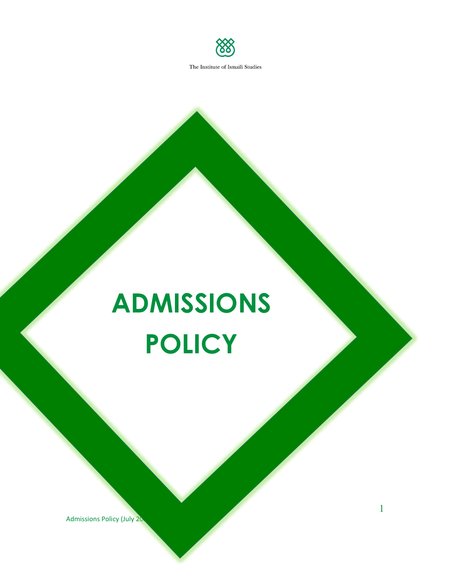

# **ADMISSIONS POLICY**

Admissions Policy (July 20

1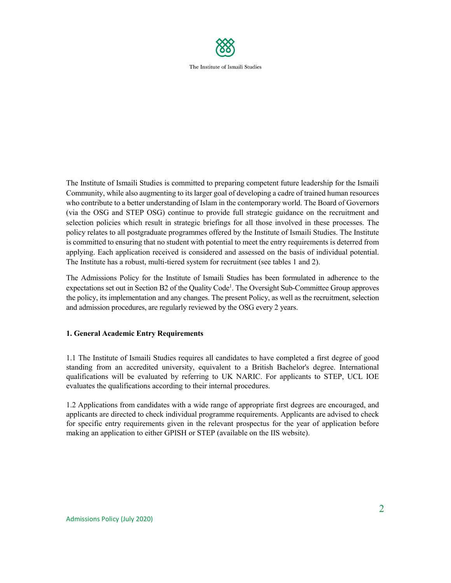

The Institute of Ismaili Studies is committed to preparing competent future leadership for the Ismaili Community, while also augmenting to its larger goal of developing a cadre of trained human resources who contribute to a better understanding of Islam in the contemporary world. The Board of Governors (via the OSG and STEP OSG) continue to provide full strategic guidance on the recruitment and selection policies which result in strategic briefings for all those involved in these processes. The policy relates to all postgraduate programmes offered by the Institute of Ismaili Studies. The Institute is committed to ensuring that no student with potential to meet the entry requirements is deterred from applying. Each application received is considered and assessed on the basis of individual potential. The Institute has a robust, multi-tiered system for recruitment (see tables 1 and 2).

The Admissions Policy for the Institute of Ismaili Studies has been formulated in adherence to the expectations set out in Section B2 of the Quality Code<sup>1</sup>. The Oversight Sub-Committee Group approves the policy, its implementation and any changes. The present Policy, as well as the recruitment, selection and admission procedures, are regularly reviewed by the OSG every 2 years.

## **1. General Academic Entry Requirements**

1.1 The Institute of Ismaili Studies requires all candidates to have completed a first degree of good standing from an accredited university, equivalent to a British Bachelor's degree. International qualifications will be evaluated by referring to UK NARIC. For applicants to STEP, UCL IOE evaluates the qualifications according to their internal procedures.

1.2 Applications from candidates with a wide range of appropriate first degrees are encouraged, and applicants are directed to check individual programme requirements. Applicants are advised to check for specific entry requirements given in the relevant prospectus for the year of application before making an application to either GPISH or STEP (available on the IIS website).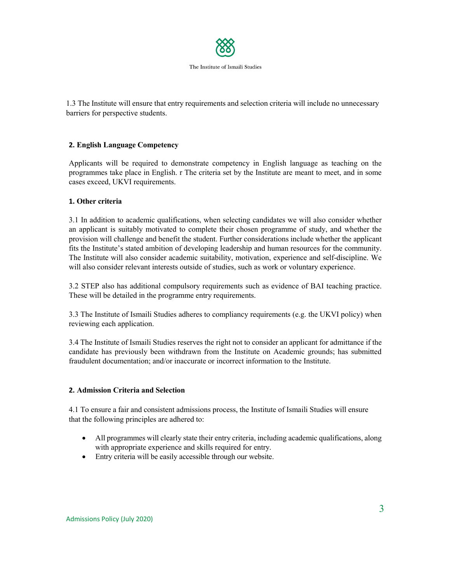

1.3 The Institute will ensure that entry requirements and selection criteria will include no unnecessary barriers for perspective students.

## **2. English Language Competency**

Applicants will be required to demonstrate competency in English language as teaching on the programmes take place in English. r The criteria set by the Institute are meant to meet, and in some cases exceed, UKVI requirements.

## **1. Other criteria**

3.1 In addition to academic qualifications, when selecting candidates we will also consider whether an applicant is suitably motivated to complete their chosen programme of study, and whether the provision will challenge and benefit the student. Further considerations include whether the applicant fits the Institute's stated ambition of developing leadership and human resources for the community. The Institute will also consider academic suitability, motivation, experience and self-discipline. We will also consider relevant interests outside of studies, such as work or voluntary experience.

3.2 STEP also has additional compulsory requirements such as evidence of BAI teaching practice. These will be detailed in the programme entry requirements.

3.3 The Institute of Ismaili Studies adheres to compliancy requirements (e.g. the UKVI policy) when reviewing each application.

3.4 The Institute of Ismaili Studies reserves the right not to consider an applicant for admittance if the candidate has previously been withdrawn from the Institute on Academic grounds; has submitted fraudulent documentation; and/or inaccurate or incorrect information to the Institute.

#### **2. Admission Criteria and Selection**

4.1 To ensure a fair and consistent admissions process, the Institute of Ismaili Studies will ensure that the following principles are adhered to:

- All programmes will clearly state their entry criteria, including academic qualifications, along with appropriate experience and skills required for entry.
- Entry criteria will be easily accessible through our website.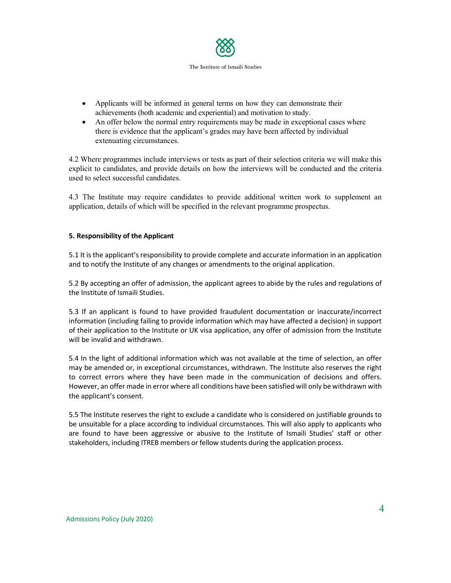

- Applicants will be informed in general terms on how they can demonstrate their achievements (both academic and experiential) and motivation to study.
- An offer below the normal entry requirements may be made in exceptional cases where there is evidence that the applicant's grades may have been affected by individual extenuating circumstances.

4.2 Where programmes include interviews or tests as part of their selection criteria we will make this explicit to candidates, and provide details on how the interviews will be conducted and the criteria used to select successful candidates.

4.3 The Institute may require candidates to provide additional written work to supplement an application, details of which will be specified in the relevant programme prospectus.

## **5. Responsibility of the Applicant**

5.1 It is the applicant's responsibility to provide complete and accurate information in an application and to notify the Institute of any changes or amendments to the original application.

5.2 By accepting an offer of admission, the applicant agrees to abide by the rules and regulations of the Institute of Ismaili Studies.

5.3 If an applicant is found to have provided fraudulent documentation or inaccurate/incorrect information (including failing to provide information which may have affected a decision) in support of their application to the Institute or UK visa application, any offer of admission from the Institute will be invalid and withdrawn.

5.4 In the light of additional information which was not available at the time of selection, an offer may be amended or, in exceptional circumstances, withdrawn. The Institute also reserves the right to correct errors where they have been made in the communication of decisions and offers. However, an offer made in error where all conditions have been satisfied will only be withdrawn with the applicant's consent.

5.5 The Institute reserves the right to exclude a candidate who is considered on justifiable grounds to be unsuitable for a place according to individual circumstances. This will also apply to applicants who are found to have been aggressive or abusive to the Institute of Ismaili Studies' staff or other stakeholders, including ITREB members or fellow students during the application process.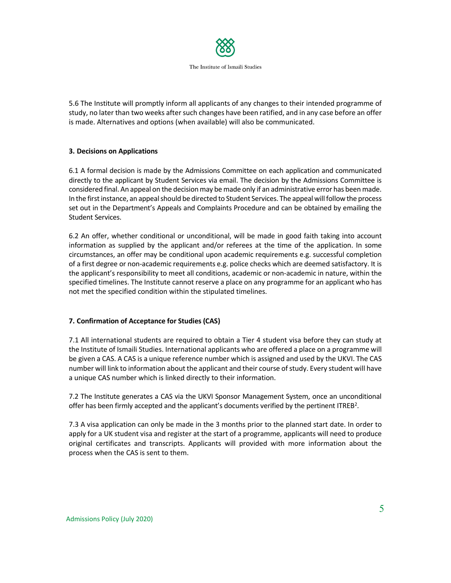

5.6 The Institute will promptly inform all applicants of any changes to their intended programme of study, no later than two weeks after such changes have been ratified, and in any case before an offer is made. Alternatives and options (when available) will also be communicated.

## **3. Decisions on Applications**

6.1 A formal decision is made by the Admissions Committee on each application and communicated directly to the applicant by Student Services via email. The decision by the Admissions Committee is considered final. An appeal on the decision may be made only if an administrative error has been made. In the first instance, an appeal should be directed to Student Services. The appeal will follow the process set out in the Department's Appeals and Complaints Procedure and can be obtained by emailing the Student Services.

6.2 An offer, whether conditional or unconditional, will be made in good faith taking into account information as supplied by the applicant and/or referees at the time of the application. In some circumstances, an offer may be conditional upon academic requirements e.g. successful completion of a first degree or non-academic requirements e.g. police checks which are deemed satisfactory. It is the applicant's responsibility to meet all conditions, academic or non-academic in nature, within the specified timelines. The Institute cannot reserve a place on any programme for an applicant who has not met the specified condition within the stipulated timelines.

#### **7. Confirmation of Acceptance for Studies (CAS)**

7.1 All international students are required to obtain a Tier 4 student visa before they can study at the Institute of Ismaili Studies. International applicants who are offered a place on a programme will be given a CAS. A CAS is a unique reference number which is assigned and used by the UKVI. The CAS number will link to information about the applicant and their course of study. Every student will have a unique CAS number which is linked directly to their information.

7.2 The Institute generates a CAS via the UKVI Sponsor Management System, once an unconditional offer has been firmly accepted and the applicant's documents verified by the pertinent ITREB<sup>2</sup>.

7.3 A visa application can only be made in the 3 months prior to the planned start date. In order to apply for a UK student visa and register at the start of a programme, applicants will need to produce original certificates and transcripts. Applicants will provided with more information about the process when the CAS is sent to them.